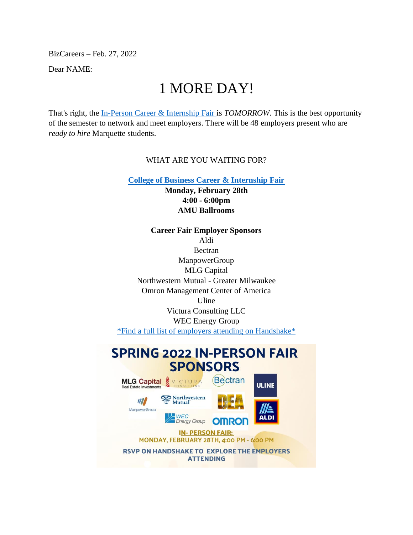BizCareers – Feb. 27, 2022

Dear NAME:

# 1 MORE DAY!

That's right, the [In-Person Career & Internship Fair i](https://marquette.joinhandshake.com/career_fairs/30484/student_preview?token=WCqhpDRotASCVKxFNhSSfIRZXoKInwSrh8OV1hvNG4tWU7PIUgqwLg)s *TOMORROW.* This is the best opportunity of the semester to network and meet employers. There will be 48 employers present who are *ready to hire* Marquette students.

#### WHAT ARE YOU WAITING FOR?

**[College of Business Career & Internship Fair](https://marquette.joinhandshake.com/edu/mass_emails/1054481/Business%20In-Person%20Career%20&%20Internship%20Fair)**

**Monday, February 28th 4:00 - 6:00pm AMU Ballrooms**

**Career Fair Employer Sponsors** Aldi **Bectran** ManpowerGroup MLG Capital Northwestern Mutual - Greater Milwaukee Omron Management Center of America Uline Victura Consulting LLC WEC Energy Group [\\*Find a full list of employers attending on Handshake\\*](https://marquette.joinhandshake.com/edu/mass_emails/1054481/College%20of%20Business%20Career%20&%20Internship%20Fair%20Monday,%20February%2028th%204:00%20-%206:00pm%20AMU%20Ballrooms)

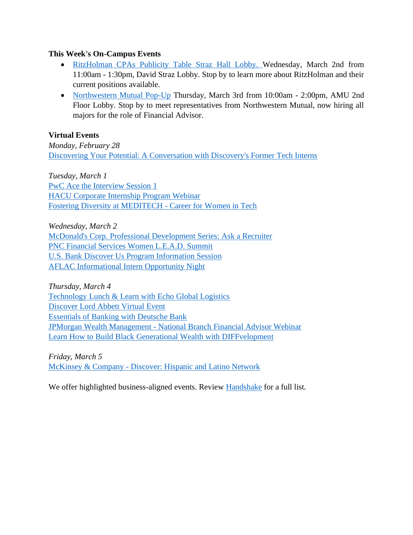#### **This Week's On-Campus Events**

- [RitzHolman CPAs Publicity Table Straz Hall Lobby. W](https://marquette.joinhandshake.com/events/986153/share_preview)ednesday, March 2nd from 11:00am - 1:30pm, David Straz Lobby. Stop by to learn more about RitzHolman and their current positions available.
- [Northwestern Mutual Pop-Up](https://marquette.joinhandshake.com/events/983069/share_preview) Thursday, March 3rd from 10:00am 2:00pm, AMU 2nd Floor Lobby. Stop by to meet representatives from Northwestern Mutual, now hiring all majors for the role of Financial Advisor.

#### **Virtual Events**

*Monday, February 28* [Discovering Your Potential: A Conversation with Discovery's Former Tech Interns](https://marquette.joinhandshake.com/events/980886/share_preview)

*Tuesday, March 1* [PwC Ace the Interview Session 1](https://marquette.joinhandshake.com/events/975112/share_preview) [HACU Corporate Internship Program Webinar](https://marquette.joinhandshake.com/events/984299/share_preview) [Fostering Diversity at MEDITECH -](https://marquette.joinhandshake.com/events/954710/share_preview) Career for Women in Tech

*Wednesday, March 2* [McDonald's Corp. Professional Development Series: Ask a Recruiter](https://marquette.joinhandshake.com/events/945863/share_preview) [PNC Financial Services Women L.E.A.D. Summit](https://marquette.joinhandshake.com/events/968885/share_preview) [U.S. Bank Discover Us Program Information Session](https://marquette.joinhandshake.com/events/980483/share_preview) [AFLAC Informational Intern Opportunity Night](https://marquette.joinhandshake.com/events/979532/share_preview)

*Thursday, March 4* [Technology Lunch & Learn with Echo Global Logistics](https://marquette.joinhandshake.com/events/958223/share_preview) [Discover Lord Abbett Virtual Event](https://marquette.joinhandshake.com/events/967481/share_preview) [Essentials of Banking with](https://marquette.joinhandshake.com/events/959613/share_preview) Deutsche Bank JPMorgan Wealth Management - [National Branch Financial Advisor Webinar](https://marquette.joinhandshake.com/events/975722/share_preview) [Learn How to Build Black Generational Wealth with DIFFvelopment](https://marquette.joinhandshake.com/events/943435/share_preview)

*Friday, March 5* McKinsey & Company - [Discover: Hispanic and Latino Network](https://marquette.joinhandshake.com/events/975873/share_preview)

We offer highlighted business-aligned events. Review [Handshake](https://marquette.joinhandshake.com/edu/events) for a full list.